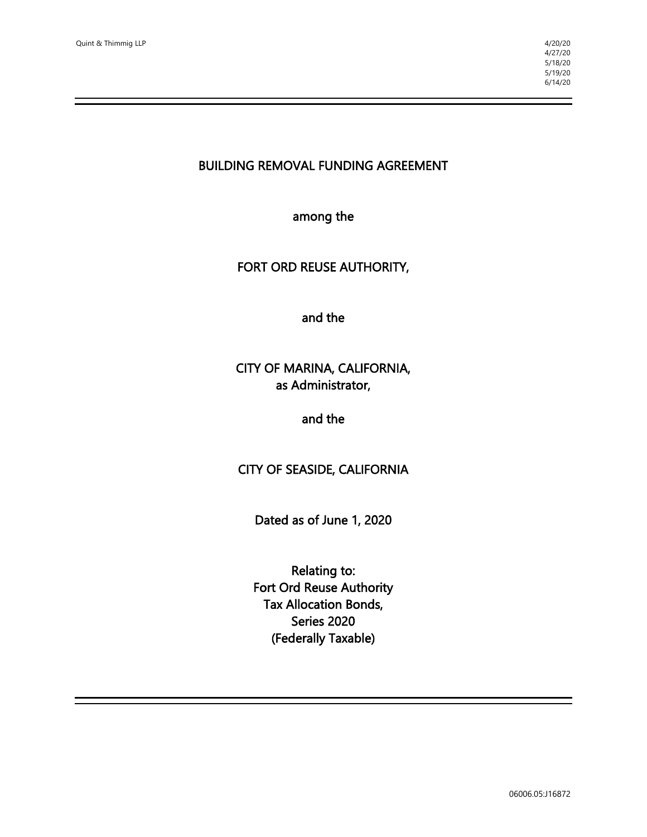BUILDING REMOVAL FUNDING AGREEMENT

among the

#### FORT ORD REUSE AUTHORITY,

and the

# CITY OF MARINA, CALIFORNIA, as Administrator,

#### and the

## CITY OF SEASIDE, CALIFORNIA

Dated as of June 1, 2020

Relating to: Fort Ord Reuse Authority Tax Allocation Bonds, Series 2020 (Federally Taxable)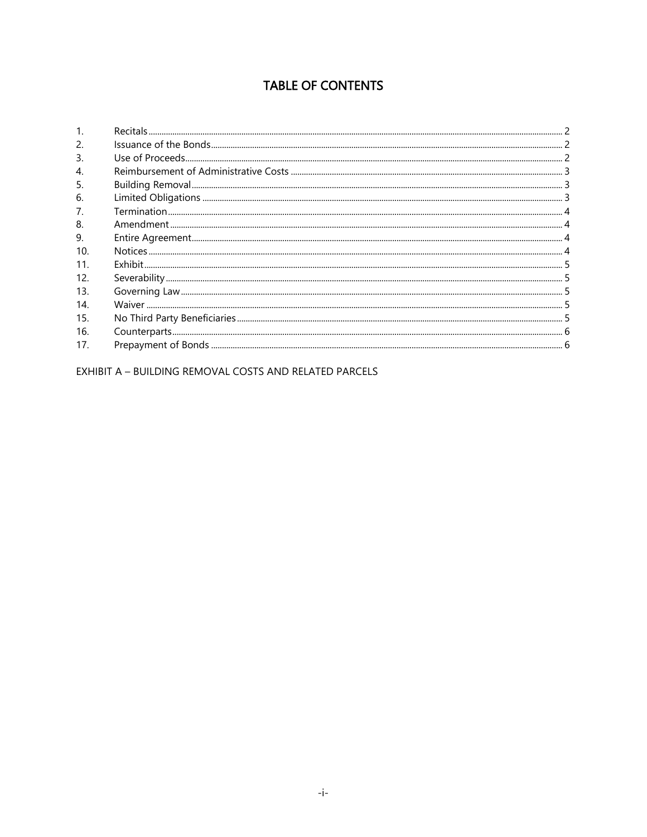# **TABLE OF CONTENTS**

| 2.  |                                                                                                              |  |
|-----|--------------------------------------------------------------------------------------------------------------|--|
| 3.  |                                                                                                              |  |
| 4.  |                                                                                                              |  |
| 5.  |                                                                                                              |  |
| 6.  |                                                                                                              |  |
| 7.  |                                                                                                              |  |
| 8.  |                                                                                                              |  |
| 9.  |                                                                                                              |  |
| 10. |                                                                                                              |  |
| 11. |                                                                                                              |  |
| 12. |                                                                                                              |  |
| 13. |                                                                                                              |  |
| 14. |                                                                                                              |  |
| 15. |                                                                                                              |  |
| 16. | Severability<br>Soverning Law<br>5<br>No Third Party Beneficiaries<br>Sounterparts<br>5<br>Counterparts<br>6 |  |
| 17. |                                                                                                              |  |

EXHIBIT A - BUILDING REMOVAL COSTS AND RELATED PARCELS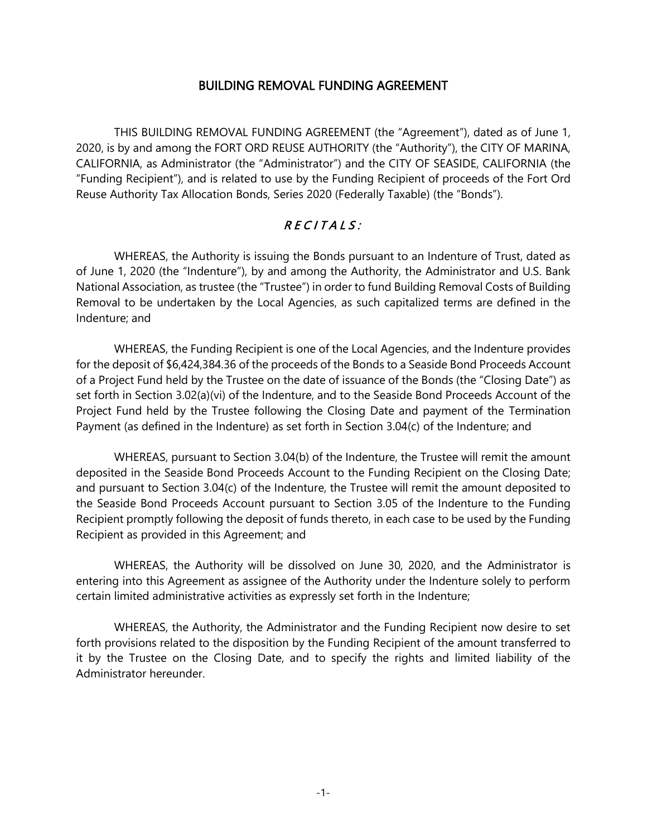#### BUILDING REMOVAL FUNDING AGREEMENT

THIS BUILDING REMOVAL FUNDING AGREEMENT (the "Agreement"), dated as of June 1, 2020, is by and among the FORT ORD REUSE AUTHORITY (the "Authority"), the CITY OF MARINA, CALIFORNIA, as Administrator (the "Administrator") and the CITY OF SEASIDE, CALIFORNIA (the "Funding Recipient"), and is related to use by the Funding Recipient of proceeds of the Fort Ord Reuse Authority Tax Allocation Bonds, Series 2020 (Federally Taxable) (the "Bonds").

# $RECIIALS:$

WHEREAS, the Authority is issuing the Bonds pursuant to an Indenture of Trust, dated as of June 1, 2020 (the "Indenture"), by and among the Authority, the Administrator and U.S. Bank National Association, as trustee (the "Trustee") in order to fund Building Removal Costs of Building Removal to be undertaken by the Local Agencies, as such capitalized terms are defined in the Indenture; and

WHEREAS, the Funding Recipient is one of the Local Agencies, and the Indenture provides for the deposit of \$6,424,384.36 of the proceeds of the Bonds to a Seaside Bond Proceeds Account of a Project Fund held by the Trustee on the date of issuance of the Bonds (the "Closing Date") as set forth in Section 3.02(a)(vi) of the Indenture, and to the Seaside Bond Proceeds Account of the Project Fund held by the Trustee following the Closing Date and payment of the Termination Payment (as defined in the Indenture) as set forth in Section 3.04(c) of the Indenture; and

WHEREAS, pursuant to Section 3.04(b) of the Indenture, the Trustee will remit the amount deposited in the Seaside Bond Proceeds Account to the Funding Recipient on the Closing Date; and pursuant to Section 3.04(c) of the Indenture, the Trustee will remit the amount deposited to the Seaside Bond Proceeds Account pursuant to Section 3.05 of the Indenture to the Funding Recipient promptly following the deposit of funds thereto, in each case to be used by the Funding Recipient as provided in this Agreement; and

WHEREAS, the Authority will be dissolved on June 30, 2020, and the Administrator is entering into this Agreement as assignee of the Authority under the Indenture solely to perform certain limited administrative activities as expressly set forth in the Indenture;

WHEREAS, the Authority, the Administrator and the Funding Recipient now desire to set forth provisions related to the disposition by the Funding Recipient of the amount transferred to it by the Trustee on the Closing Date, and to specify the rights and limited liability of the Administrator hereunder.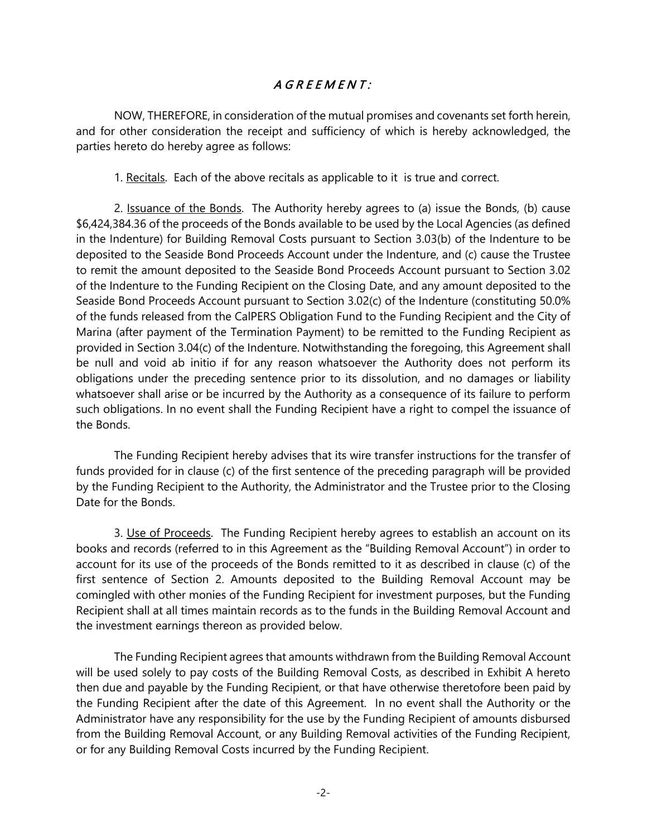# A G R E E M E N T :

NOW, THEREFORE, in consideration of the mutual promises and covenants set forth herein, and for other consideration the receipt and sufficiency of which is hereby acknowledged, the parties hereto do hereby agree as follows:

1. Recitals. Each of the above recitals as applicable to it is true and correct.

2. Issuance of the Bonds. The Authority hereby agrees to (a) issue the Bonds, (b) cause \$6,424,384.36 of the proceeds of the Bonds available to be used by the Local Agencies (as defined in the Indenture) for Building Removal Costs pursuant to Section 3.03(b) of the Indenture to be deposited to the Seaside Bond Proceeds Account under the Indenture, and (c) cause the Trustee to remit the amount deposited to the Seaside Bond Proceeds Account pursuant to Section 3.02 of the Indenture to the Funding Recipient on the Closing Date, and any amount deposited to the Seaside Bond Proceeds Account pursuant to Section 3.02(c) of the Indenture (constituting 50.0% of the funds released from the CalPERS Obligation Fund to the Funding Recipient and the City of Marina (after payment of the Termination Payment) to be remitted to the Funding Recipient as provided in Section 3.04(c) of the Indenture. Notwithstanding the foregoing, this Agreement shall be null and void ab initio if for any reason whatsoever the Authority does not perform its obligations under the preceding sentence prior to its dissolution, and no damages or liability whatsoever shall arise or be incurred by the Authority as a consequence of its failure to perform such obligations. In no event shall the Funding Recipient have a right to compel the issuance of the Bonds.

The Funding Recipient hereby advises that its wire transfer instructions for the transfer of funds provided for in clause (c) of the first sentence of the preceding paragraph will be provided by the Funding Recipient to the Authority, the Administrator and the Trustee prior to the Closing Date for the Bonds.

3. Use of Proceeds. The Funding Recipient hereby agrees to establish an account on its books and records (referred to in this Agreement as the "Building Removal Account") in order to account for its use of the proceeds of the Bonds remitted to it as described in clause (c) of the first sentence of Section 2. Amounts deposited to the Building Removal Account may be comingled with other monies of the Funding Recipient for investment purposes, but the Funding Recipient shall at all times maintain records as to the funds in the Building Removal Account and the investment earnings thereon as provided below.

The Funding Recipient agrees that amounts withdrawn from the Building Removal Account will be used solely to pay costs of the Building Removal Costs, as described in Exhibit A hereto then due and payable by the Funding Recipient, or that have otherwise theretofore been paid by the Funding Recipient after the date of this Agreement. In no event shall the Authority or the Administrator have any responsibility for the use by the Funding Recipient of amounts disbursed from the Building Removal Account, or any Building Removal activities of the Funding Recipient, or for any Building Removal Costs incurred by the Funding Recipient.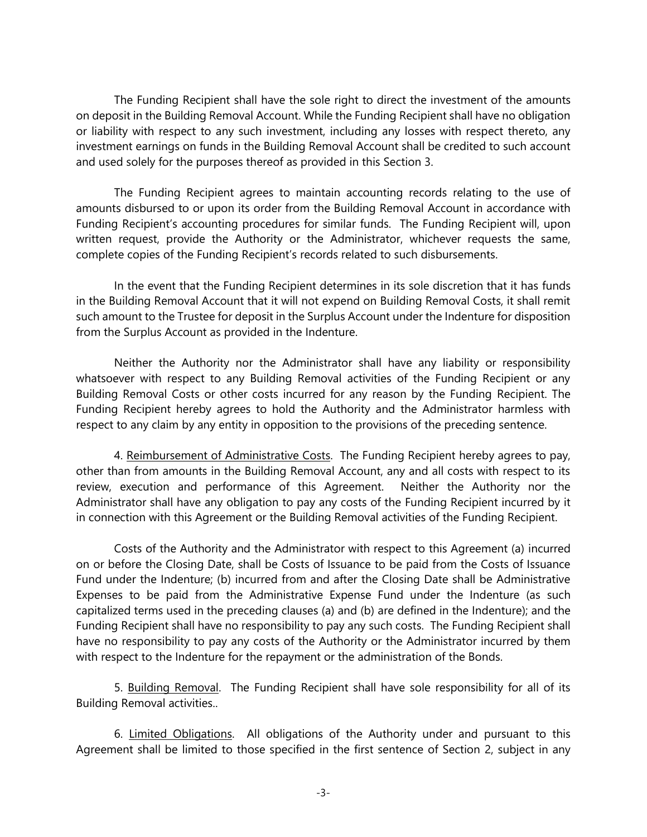The Funding Recipient shall have the sole right to direct the investment of the amounts on deposit in the Building Removal Account. While the Funding Recipient shall have no obligation or liability with respect to any such investment, including any losses with respect thereto, any investment earnings on funds in the Building Removal Account shall be credited to such account and used solely for the purposes thereof as provided in this Section 3.

The Funding Recipient agrees to maintain accounting records relating to the use of amounts disbursed to or upon its order from the Building Removal Account in accordance with Funding Recipient's accounting procedures for similar funds. The Funding Recipient will, upon written request, provide the Authority or the Administrator, whichever requests the same, complete copies of the Funding Recipient's records related to such disbursements.

In the event that the Funding Recipient determines in its sole discretion that it has funds in the Building Removal Account that it will not expend on Building Removal Costs, it shall remit such amount to the Trustee for deposit in the Surplus Account under the Indenture for disposition from the Surplus Account as provided in the Indenture.

Neither the Authority nor the Administrator shall have any liability or responsibility whatsoever with respect to any Building Removal activities of the Funding Recipient or any Building Removal Costs or other costs incurred for any reason by the Funding Recipient. The Funding Recipient hereby agrees to hold the Authority and the Administrator harmless with respect to any claim by any entity in opposition to the provisions of the preceding sentence.

4. Reimbursement of Administrative Costs. The Funding Recipient hereby agrees to pay, other than from amounts in the Building Removal Account, any and all costs with respect to its review, execution and performance of this Agreement. Neither the Authority nor the Administrator shall have any obligation to pay any costs of the Funding Recipient incurred by it in connection with this Agreement or the Building Removal activities of the Funding Recipient.

Costs of the Authority and the Administrator with respect to this Agreement (a) incurred on or before the Closing Date, shall be Costs of Issuance to be paid from the Costs of Issuance Fund under the Indenture; (b) incurred from and after the Closing Date shall be Administrative Expenses to be paid from the Administrative Expense Fund under the Indenture (as such capitalized terms used in the preceding clauses (a) and (b) are defined in the Indenture); and the Funding Recipient shall have no responsibility to pay any such costs. The Funding Recipient shall have no responsibility to pay any costs of the Authority or the Administrator incurred by them with respect to the Indenture for the repayment or the administration of the Bonds.

5. Building Removal. The Funding Recipient shall have sole responsibility for all of its Building Removal activities..

6. Limited Obligations. All obligations of the Authority under and pursuant to this Agreement shall be limited to those specified in the first sentence of Section 2, subject in any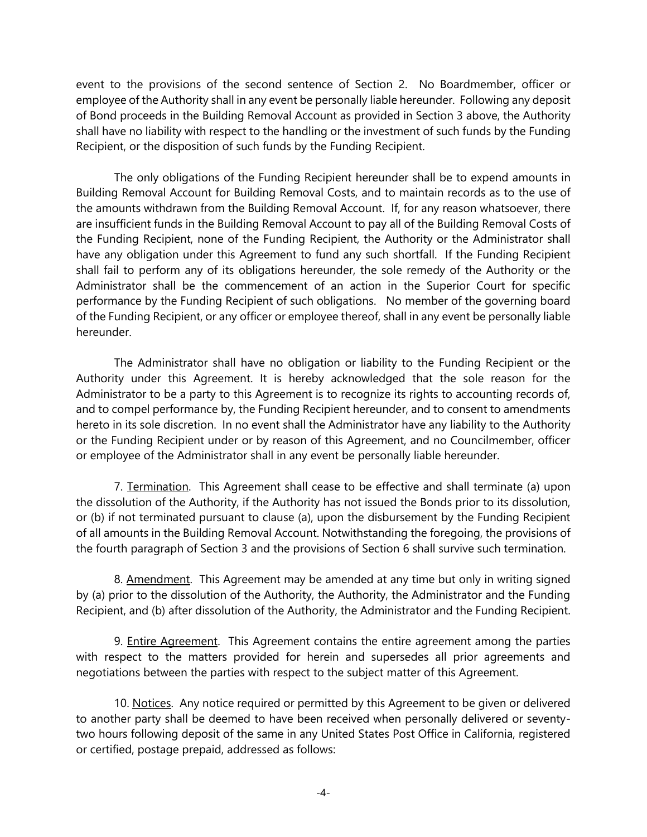event to the provisions of the second sentence of Section 2. No Boardmember, officer or employee of the Authority shall in any event be personally liable hereunder. Following any deposit of Bond proceeds in the Building Removal Account as provided in Section 3 above, the Authority shall have no liability with respect to the handling or the investment of such funds by the Funding Recipient, or the disposition of such funds by the Funding Recipient.

The only obligations of the Funding Recipient hereunder shall be to expend amounts in Building Removal Account for Building Removal Costs, and to maintain records as to the use of the amounts withdrawn from the Building Removal Account. If, for any reason whatsoever, there are insufficient funds in the Building Removal Account to pay all of the Building Removal Costs of the Funding Recipient, none of the Funding Recipient, the Authority or the Administrator shall have any obligation under this Agreement to fund any such shortfall. If the Funding Recipient shall fail to perform any of its obligations hereunder, the sole remedy of the Authority or the Administrator shall be the commencement of an action in the Superior Court for specific performance by the Funding Recipient of such obligations. No member of the governing board of the Funding Recipient, or any officer or employee thereof, shall in any event be personally liable hereunder.

The Administrator shall have no obligation or liability to the Funding Recipient or the Authority under this Agreement. It is hereby acknowledged that the sole reason for the Administrator to be a party to this Agreement is to recognize its rights to accounting records of, and to compel performance by, the Funding Recipient hereunder, and to consent to amendments hereto in its sole discretion. In no event shall the Administrator have any liability to the Authority or the Funding Recipient under or by reason of this Agreement, and no Councilmember, officer or employee of the Administrator shall in any event be personally liable hereunder.

7. Termination. This Agreement shall cease to be effective and shall terminate (a) upon the dissolution of the Authority, if the Authority has not issued the Bonds prior to its dissolution, or (b) if not terminated pursuant to clause (a), upon the disbursement by the Funding Recipient of all amounts in the Building Removal Account. Notwithstanding the foregoing, the provisions of the fourth paragraph of Section 3 and the provisions of Section 6 shall survive such termination.

8. Amendment. This Agreement may be amended at any time but only in writing signed by (a) prior to the dissolution of the Authority, the Authority, the Administrator and the Funding Recipient, and (b) after dissolution of the Authority, the Administrator and the Funding Recipient.

9. Entire Agreement. This Agreement contains the entire agreement among the parties with respect to the matters provided for herein and supersedes all prior agreements and negotiations between the parties with respect to the subject matter of this Agreement.

10. Notices. Any notice required or permitted by this Agreement to be given or delivered to another party shall be deemed to have been received when personally delivered or seventytwo hours following deposit of the same in any United States Post Office in California, registered or certified, postage prepaid, addressed as follows: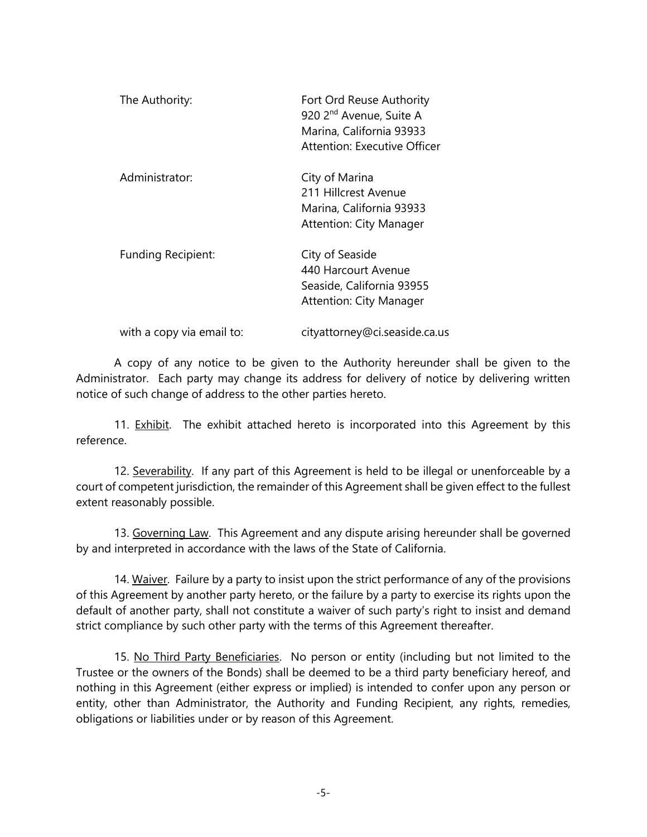| The Authority:            | Fort Ord Reuse Authority<br>920 2 <sup>nd</sup> Avenue, Suite A<br>Marina, California 93933<br>Attention: Executive Officer |
|---------------------------|-----------------------------------------------------------------------------------------------------------------------------|
| Administrator:            | City of Marina<br>211 Hillcrest Avenue<br>Marina, California 93933<br><b>Attention: City Manager</b>                        |
| Funding Recipient:        | City of Seaside<br>440 Harcourt Avenue<br>Seaside, California 93955<br><b>Attention: City Manager</b>                       |
| with a copy via email to: | cityattorney@ci.seaside.ca.us                                                                                               |

A copy of any notice to be given to the Authority hereunder shall be given to the Administrator. Each party may change its address for delivery of notice by delivering written notice of such change of address to the other parties hereto.

11. Exhibit. The exhibit attached hereto is incorporated into this Agreement by this reference.

12. Severability. If any part of this Agreement is held to be illegal or unenforceable by a court of competent jurisdiction, the remainder of this Agreement shall be given effect to the fullest extent reasonably possible.

13. Governing Law. This Agreement and any dispute arising hereunder shall be governed by and interpreted in accordance with the laws of the State of California.

14. Waiver. Failure by a party to insist upon the strict performance of any of the provisions of this Agreement by another party hereto, or the failure by a party to exercise its rights upon the default of another party, shall not constitute a waiver of such party's right to insist and demand strict compliance by such other party with the terms of this Agreement thereafter.

15. No Third Party Beneficiaries. No person or entity (including but not limited to the Trustee or the owners of the Bonds) shall be deemed to be a third party beneficiary hereof, and nothing in this Agreement (either express or implied) is intended to confer upon any person or entity, other than Administrator, the Authority and Funding Recipient, any rights, remedies, obligations or liabilities under or by reason of this Agreement.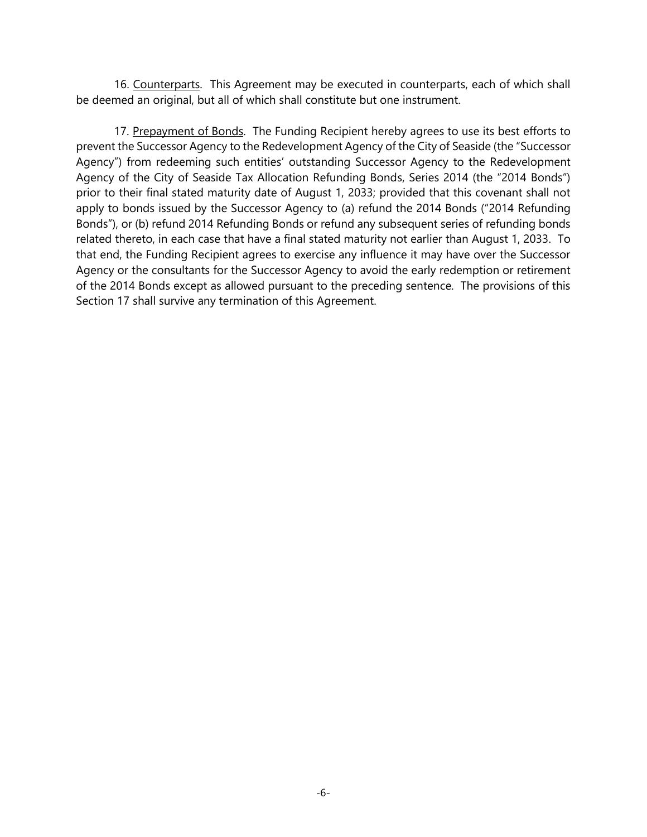16. Counterparts. This Agreement may be executed in counterparts, each of which shall be deemed an original, but all of which shall constitute but one instrument.

17. Prepayment of Bonds. The Funding Recipient hereby agrees to use its best efforts to prevent the Successor Agency to the Redevelopment Agency of the City of Seaside (the "Successor Agency") from redeeming such entities' outstanding Successor Agency to the Redevelopment Agency of the City of Seaside Tax Allocation Refunding Bonds, Series 2014 (the "2014 Bonds") prior to their final stated maturity date of August 1, 2033; provided that this covenant shall not apply to bonds issued by the Successor Agency to (a) refund the 2014 Bonds ("2014 Refunding Bonds"), or (b) refund 2014 Refunding Bonds or refund any subsequent series of refunding bonds related thereto, in each case that have a final stated maturity not earlier than August 1, 2033. To that end, the Funding Recipient agrees to exercise any influence it may have over the Successor Agency or the consultants for the Successor Agency to avoid the early redemption or retirement of the 2014 Bonds except as allowed pursuant to the preceding sentence. The provisions of this Section 17 shall survive any termination of this Agreement.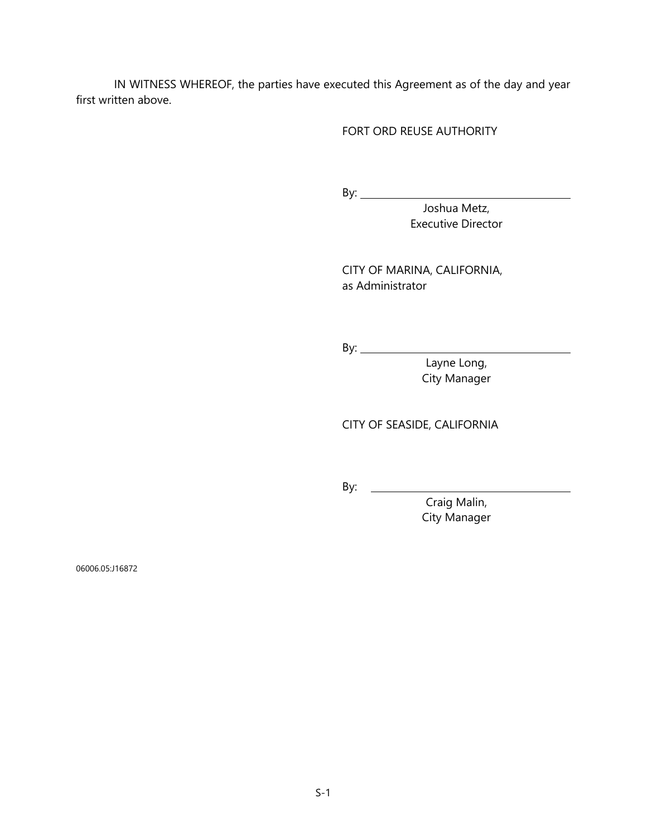IN WITNESS WHEREOF, the parties have executed this Agreement as of the day and year first written above.

#### FORT ORD REUSE AUTHORITY

By:

Joshua Metz, Executive Director

CITY OF MARINA, CALIFORNIA, as Administrator

By:

Layne Long, City Manager

CITY OF SEASIDE, CALIFORNIA

By:

Craig Malin, City Manager

06006.05:J16872